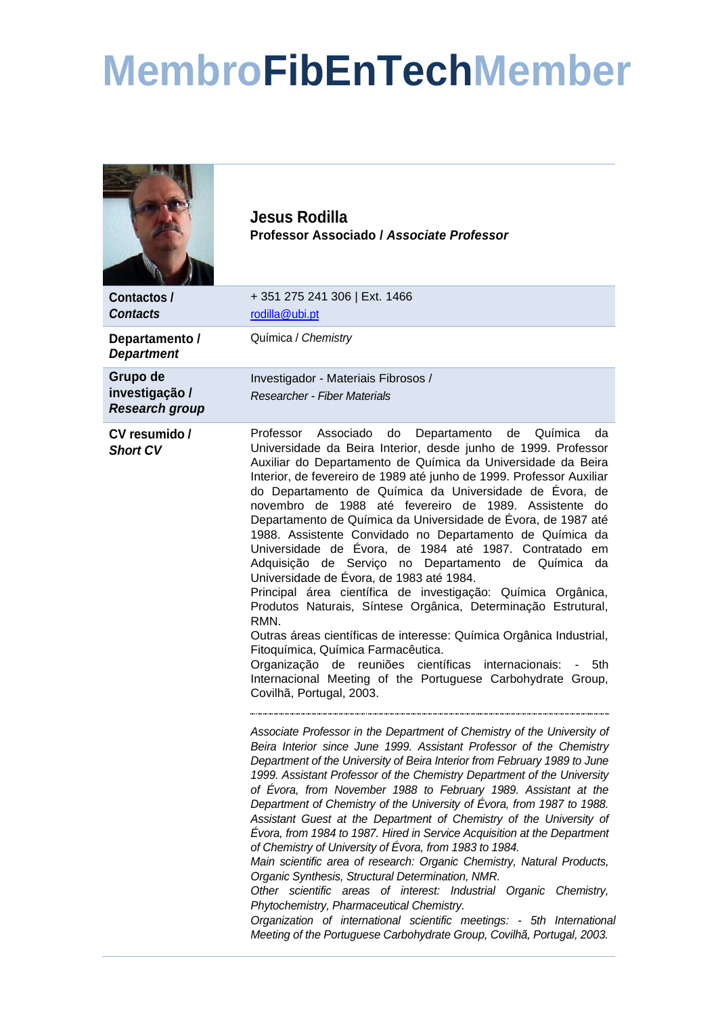## **MembroFibEnTechMember**

| Contactos /<br><b>Contacts</b>                      | Jesus Rodilla<br>Professor Associado / Associate Professor<br>+351 275 241 306   Ext. 1466<br>rodilla@ubi.pt                                                                                                                                                                                                                                                                                                                                                                                                                                                                                                                                                                                                                                                                                                                                                                                                                                                                                                                                                                                                                                                                                                                                                                                                                                                                                                                                                                                       |
|-----------------------------------------------------|----------------------------------------------------------------------------------------------------------------------------------------------------------------------------------------------------------------------------------------------------------------------------------------------------------------------------------------------------------------------------------------------------------------------------------------------------------------------------------------------------------------------------------------------------------------------------------------------------------------------------------------------------------------------------------------------------------------------------------------------------------------------------------------------------------------------------------------------------------------------------------------------------------------------------------------------------------------------------------------------------------------------------------------------------------------------------------------------------------------------------------------------------------------------------------------------------------------------------------------------------------------------------------------------------------------------------------------------------------------------------------------------------------------------------------------------------------------------------------------------------|
| Departamento /<br><b>Department</b>                 | Química / Chemistry                                                                                                                                                                                                                                                                                                                                                                                                                                                                                                                                                                                                                                                                                                                                                                                                                                                                                                                                                                                                                                                                                                                                                                                                                                                                                                                                                                                                                                                                                |
| Grupo de<br>investigação /<br><b>Research group</b> | Investigador - Materiais Fibrosos /<br><b>Researcher - Fiber Materials</b>                                                                                                                                                                                                                                                                                                                                                                                                                                                                                                                                                                                                                                                                                                                                                                                                                                                                                                                                                                                                                                                                                                                                                                                                                                                                                                                                                                                                                         |
| CV resumido /<br><b>Short CV</b>                    | Professor<br>Associado<br>Departamento<br>Química<br>do<br>de<br>da<br>Universidade da Beira Interior, desde junho de 1999. Professor<br>Auxiliar do Departamento de Química da Universidade da Beira<br>Interior, de fevereiro de 1989 até junho de 1999. Professor Auxiliar<br>do Departamento de Química da Universidade de Évora, de<br>novembro de 1988 até fevereiro de 1989. Assistente do<br>Departamento de Química da Universidade de Évora, de 1987 até<br>1988. Assistente Convidado no Departamento de Química da<br>Universidade de Évora, de 1984 até 1987. Contratado em<br>Adquisição de Serviço no Departamento de Química da<br>Universidade de Évora, de 1983 até 1984.<br>Principal área científica de investigação: Química Orgânica,<br>Produtos Naturais, Síntese Orgânica, Determinação Estrutural,<br>RMN.<br>Outras áreas científicas de interesse: Química Orgânica Industrial,<br>Fitoquímica, Química Farmacêutica.<br>Organização de reuniões científicas internacionais:<br>5th<br>$\sim$<br>Internacional Meeting of the Portuguese Carbohydrate Group,<br>Covilhã, Portugal, 2003.<br>Associate Professor in the Department of Chemistry of the University of<br>Beira Interior since June 1999. Assistant Professor of the Chemistry<br>Department of the University of Beira Interior from February 1989 to June<br>1999. Assistant Professor of the Chemistry Department of the University<br>of Évora, from November 1988 to February 1989. Assistant at the |
|                                                     | Department of Chemistry of the University of Évora, from 1987 to 1988.<br>Assistant Guest at the Department of Chemistry of the University of<br>Évora, from 1984 to 1987. Hired in Service Acquisition at the Department<br>of Chemistry of University of Évora, from 1983 to 1984.<br>Main scientific area of research: Organic Chemistry, Natural Products,<br>Organic Synthesis, Structural Determination, NMR.<br>Other scientific areas of interest: Industrial Organic Chemistry,<br>Phytochemistry, Pharmaceutical Chemistry.<br>Organization of international scientific meetings: - 5th International<br>Meeting of the Portuguese Carbohydrate Group, Covilhã, Portugal, 2003.                                                                                                                                                                                                                                                                                                                                                                                                                                                                                                                                                                                                                                                                                                                                                                                                          |